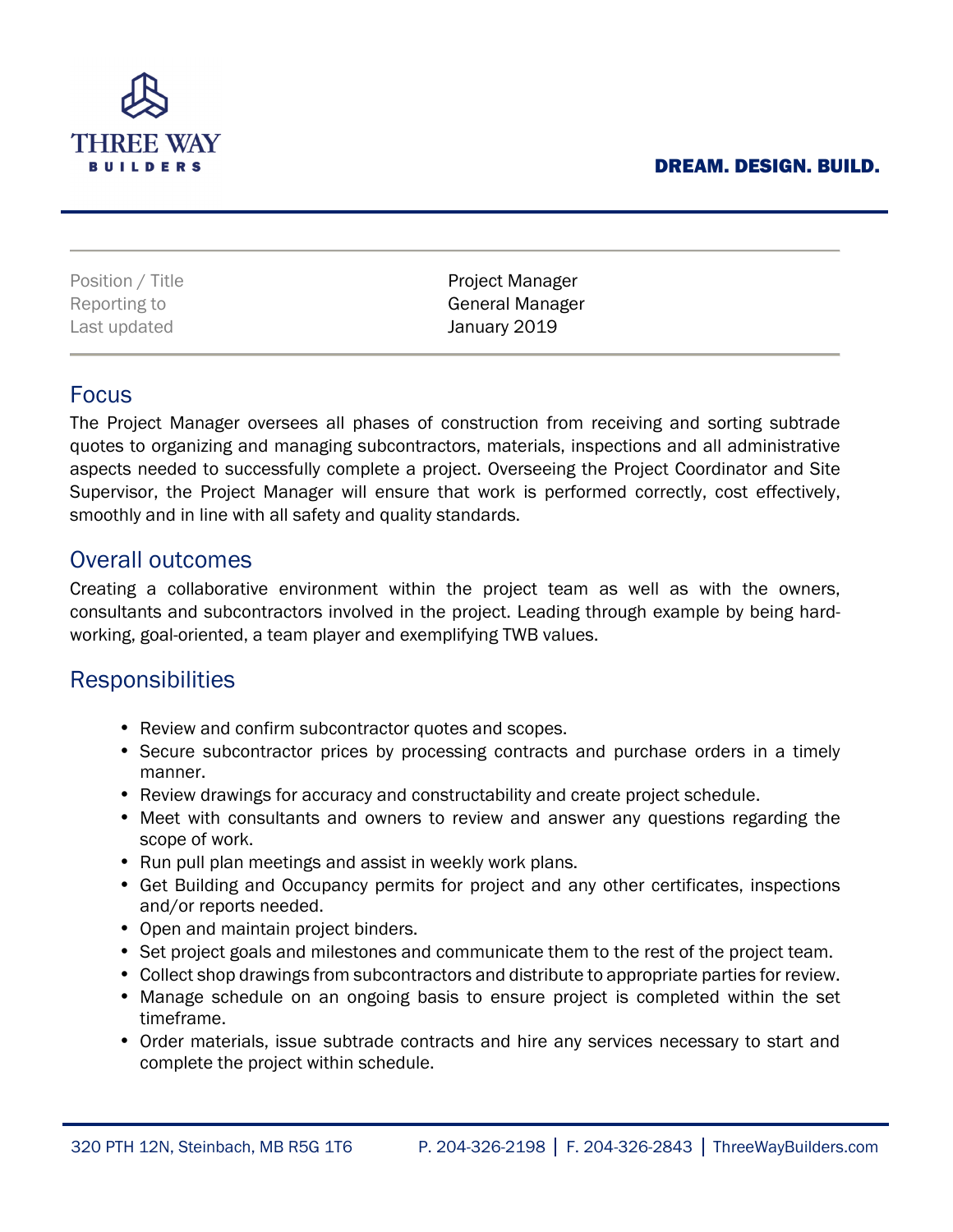#### DREAM. DESIGN. BUILD.



Last updated **January 2019** 

Position / Title **Project Manager** Reporting to **General Manager** 

### Focus

The Project Manager oversees all phases of construction from receiving and sorting subtrade quotes to organizing and managing subcontractors, materials, inspections and all administrative aspects needed to successfully complete a project. Overseeing the Project Coordinator and Site Supervisor, the Project Manager will ensure that work is performed correctly, cost effectively, smoothly and in line with all safety and quality standards.

## Overall outcomes

Creating a collaborative environment within the project team as well as with the owners, consultants and subcontractors involved in the project. Leading through example by being hardworking, goal-oriented, a team player and exemplifying TWB values.

# **Responsibilities**

- Review and confirm subcontractor quotes and scopes.
- Secure subcontractor prices by processing contracts and purchase orders in a timely manner.
- Review drawings for accuracy and constructability and create project schedule.
- Meet with consultants and owners to review and answer any questions regarding the scope of work.
- Run pull plan meetings and assist in weekly work plans.
- Get Building and Occupancy permits for project and any other certificates, inspections and/or reports needed.
- Open and maintain project binders.
- Set project goals and milestones and communicate them to the rest of the project team.
- Collect shop drawings from subcontractors and distribute to appropriate parties for review.
- Manage schedule on an ongoing basis to ensure project is completed within the set timeframe.
- Order materials, issue subtrade contracts and hire any services necessary to start and complete the project within schedule.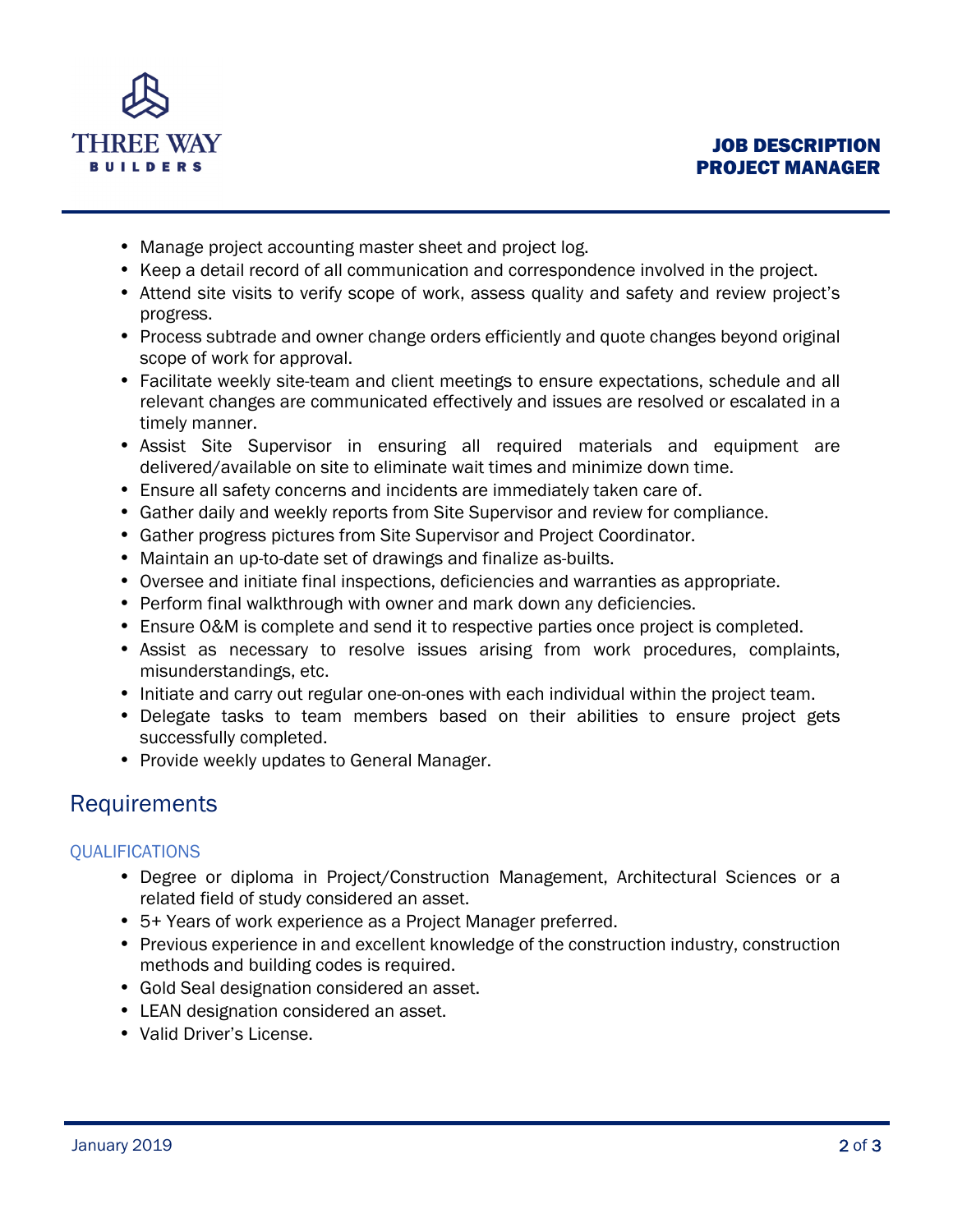

- Manage project accounting master sheet and project log.
- Keep a detail record of all communication and correspondence involved in the project.
- Attend site visits to verify scope of work, assess quality and safety and review project's progress.
- Process subtrade and owner change orders efficiently and quote changes beyond original scope of work for approval.
- Facilitate weekly site-team and client meetings to ensure expectations, schedule and all relevant changes are communicated effectively and issues are resolved or escalated in a timely manner.
- Assist Site Supervisor in ensuring all required materials and equipment are delivered/available on site to eliminate wait times and minimize down time.
- Ensure all safety concerns and incidents are immediately taken care of.
- Gather daily and weekly reports from Site Supervisor and review for compliance.
- Gather progress pictures from Site Supervisor and Project Coordinator.
- Maintain an up-to-date set of drawings and finalize as-builts.
- Oversee and initiate final inspections, deficiencies and warranties as appropriate.
- Perform final walkthrough with owner and mark down any deficiencies.
- Ensure O&M is complete and send it to respective parties once project is completed.
- Assist as necessary to resolve issues arising from work procedures, complaints, misunderstandings, etc.
- Initiate and carry out regular one-on-ones with each individual within the project team.
- Delegate tasks to team members based on their abilities to ensure project gets successfully completed.
- Provide weekly updates to General Manager.

# Requirements

### **QUALIFICATIONS**

- Degree or diploma in Project/Construction Management, Architectural Sciences or a related field of study considered an asset.
- 5+ Years of work experience as a Project Manager preferred.
- Previous experience in and excellent knowledge of the construction industry, construction methods and building codes is required.
- Gold Seal designation considered an asset.
- LEAN designation considered an asset.
- Valid Driver's License.